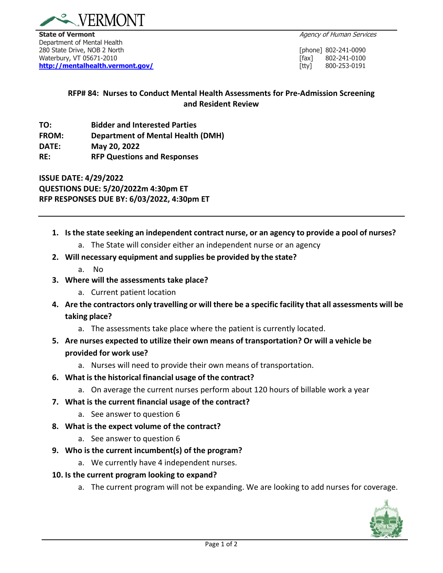

**State of Vermont** Agency of Human Services **Contract Agency of Human Services** Department of Mental Health 280 State Drive, NOB 2 North[phone] 802-241-0090 Waterbury, VT 05671-2010 **[fax]** 802-241-0101 **[fax]** 802-241-0101 **[fax]** 802-241-0101 **[fax]** 802-241-0101 **[fax] <http://mentalhealth.vermont.gov/>** [tty] 800-253-0191

## **RFP# 84: Nurses to Conduct Mental Health Assessments for Pre-Admission Screening and Resident Review**

**TO: Bidder and Interested Parties FROM: Department of Mental Health (DMH) DATE: May 20, 2022 RE: RFP Questions and Responses**

**ISSUE DATE: 4/29/2022 QUESTIONS DUE: 5/20/2022m 4:30pm ET RFP RESPONSES DUE BY: 6/03/2022, 4:30pm ET**

- **1. Is the state seeking an independent contract nurse, or an agency to provide a pool of nurses?**
	- a. The State will consider either an independent nurse or an agency
- **2. Will necessary equipment and supplies be provided by the state?**
	- a. No
- **3. Where will the assessments take place?**
	- a. Current patient location
- 4. Are the contractors only travelling or will there be a specific facility that all assessments will be **taking place?**
	- a. The assessments take place where the patient is currently located.
- **5. Are nurses expected to utilize their own means of transportation? Or will a vehicle be provided for work use?**
	- a. Nurses will need to provide their own means of transportation.
- **6. What is the historical financial usage of the contract?**
	- a. On average the current nurses perform about 120 hours of billable work a year
- **7. What is the current financial usage of the contract?**
	- a. See answer to question 6
- **8. What is the expect volume of the contract?**
	- a. See answer to question 6
- **9. Who is the current incumbent(s) of the program?**
	- a. We currently have 4 independent nurses.
- **10. Is the current program looking to expand?**
	- a. The current program will not be expanding. We are looking to add nurses for coverage.